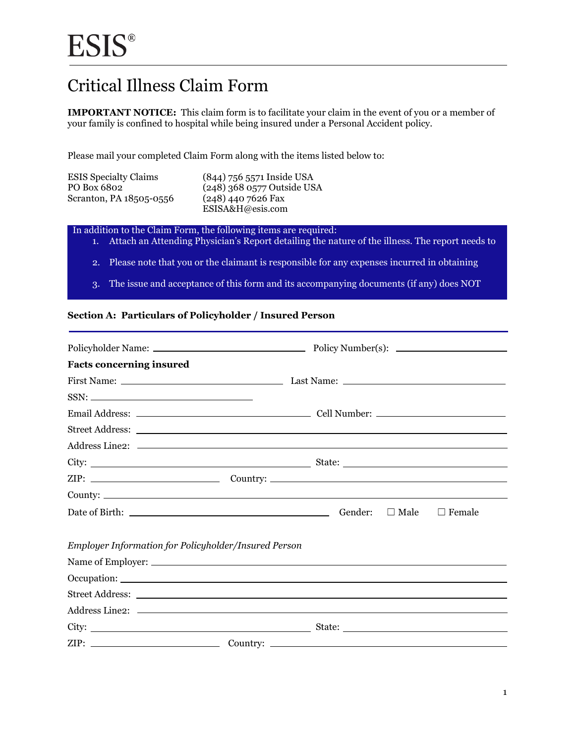### Critical Illness Claim Form

 **IMPORTANT NOTICE:** This claim form is to facilitate your claim in the event of you or a member of your family is confined to hospital while being insured under a Personal Accident policy.

Please mail your completed Claim Form along with the items listed below to:

| <b>ESIS</b> Specialty Claims | (844) 756 5571 Inside USA    |
|------------------------------|------------------------------|
| PO Box 6802                  | $(248)$ 368 0577 Outside USA |
| Scranton, PA 18505-0556      | $(248)$ 440 7626 Fax         |
|                              | ESISA&H@esis.com             |

In addition to the Claim Form, the following items are required:

- 1. Attach an Attending Physician's Report detailing the nature of the illness. The report needs to
- 2. Please note that you or the claimant is responsible for any expenses incurred in obtaining
- 3. The issue and acceptance of this form and its accompanying documents (if any) does NOT

#### **Section A: Particulars of Policyholder / Insured Person**

| <b>Facts concerning insured</b>                      |                              |
|------------------------------------------------------|------------------------------|
|                                                      |                              |
|                                                      |                              |
|                                                      |                              |
|                                                      |                              |
|                                                      |                              |
|                                                      |                              |
|                                                      |                              |
|                                                      |                              |
|                                                      | Date of Birth: $\Box$ Female |
| Employer Information for Policyholder/Insured Person |                              |
|                                                      |                              |
|                                                      |                              |
|                                                      |                              |
|                                                      |                              |
|                                                      |                              |
|                                                      |                              |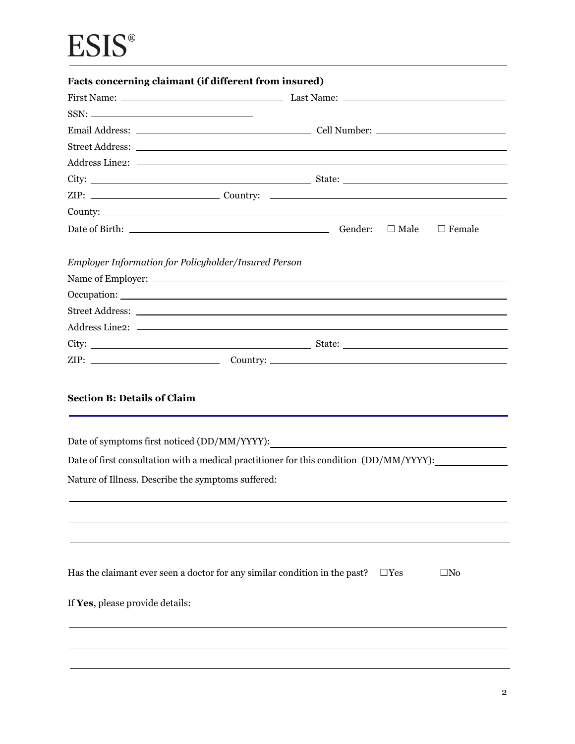# **ESIS®**

| Facts concerning claimant (if different from insured)                              |                                                                                                             |
|------------------------------------------------------------------------------------|-------------------------------------------------------------------------------------------------------------|
|                                                                                    |                                                                                                             |
|                                                                                    |                                                                                                             |
|                                                                                    |                                                                                                             |
|                                                                                    |                                                                                                             |
|                                                                                    |                                                                                                             |
|                                                                                    |                                                                                                             |
|                                                                                    |                                                                                                             |
|                                                                                    |                                                                                                             |
|                                                                                    | $\Box$ Male $\Box$ Female                                                                                   |
| Employer Information for Policyholder/Insured Person                               |                                                                                                             |
|                                                                                    |                                                                                                             |
|                                                                                    |                                                                                                             |
|                                                                                    |                                                                                                             |
|                                                                                    |                                                                                                             |
|                                                                                    |                                                                                                             |
|                                                                                    |                                                                                                             |
| <b>Section B: Details of Claim</b><br>Date of symptoms first noticed (DD/MM/YYYY): |                                                                                                             |
|                                                                                    | Date of first consultation with a medical practitioner for this condition (DD/MM/YYYY):                     |
| Nature of Illness. Describe the symptoms suffered:                                 |                                                                                                             |
|                                                                                    |                                                                                                             |
|                                                                                    | Has the claimant ever seen a doctor for any similar condition in the past?<br>$\square$ Yes<br>$\square$ No |
| If Yes, please provide details:                                                    |                                                                                                             |
|                                                                                    |                                                                                                             |
|                                                                                    |                                                                                                             |
|                                                                                    |                                                                                                             |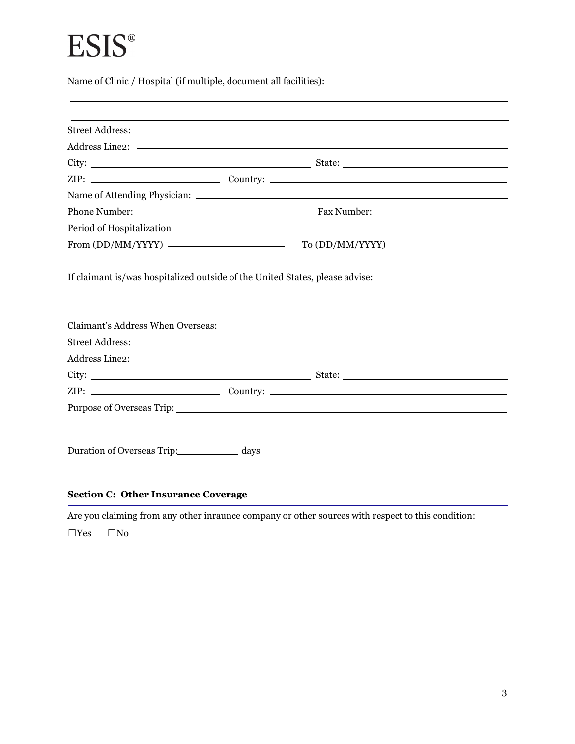## **ESIS®**

Name of Clinic / Hospital (if multiple, document all facilities):

| Phone Number:                     |                                                                              |  |
|-----------------------------------|------------------------------------------------------------------------------|--|
| Period of Hospitalization         |                                                                              |  |
|                                   |                                                                              |  |
|                                   | If claimant is/was hospitalized outside of the United States, please advise: |  |
| Claimant's Address When Overseas: |                                                                              |  |
|                                   |                                                                              |  |
|                                   |                                                                              |  |
|                                   |                                                                              |  |
|                                   |                                                                              |  |
|                                   |                                                                              |  |

#### **Section C: Other Insurance Coverage**

Are you claiming from any other inraunce company or other sources with respect to this condition:

 $\Box$ Yes  $\Box$ No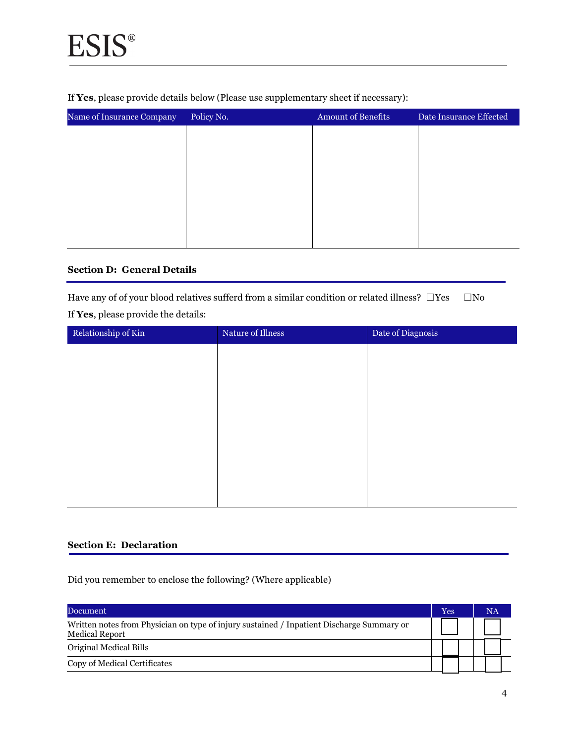If **Yes**, please provide details below (Please use supplementary sheet if necessary):

| Name of Insurance Company | Policy No. | <b>Amount of Benefits</b> | Date Insurance Effected |  |
|---------------------------|------------|---------------------------|-------------------------|--|
|                           |            |                           |                         |  |
|                           |            |                           |                         |  |
|                           |            |                           |                         |  |
|                           |            |                           |                         |  |
|                           |            |                           |                         |  |
|                           |            |                           |                         |  |
|                           |            |                           |                         |  |

#### **Section D: General Details**

Have any of of your blood relatives sufferd from a similar condition or related illness?  $□$ Yes  $□$ No If **Yes**, please provide the details:

| Relationship of Kin | Nature of Illness | Date of Diagnosis |
|---------------------|-------------------|-------------------|
|                     |                   |                   |
|                     |                   |                   |
|                     |                   |                   |
|                     |                   |                   |
|                     |                   |                   |
|                     |                   |                   |
|                     |                   |                   |
|                     |                   |                   |

#### **Section E: Declaration**

Did you remember to enclose the following? (Where applicable)

| Document                                                                                                           | Yes |  | NA |
|--------------------------------------------------------------------------------------------------------------------|-----|--|----|
| Written notes from Physician on type of injury sustained / Inpatient Discharge Summary or<br><b>Medical Report</b> |     |  |    |
| Original Medical Bills                                                                                             |     |  |    |
| Copy of Medical Certificates                                                                                       |     |  |    |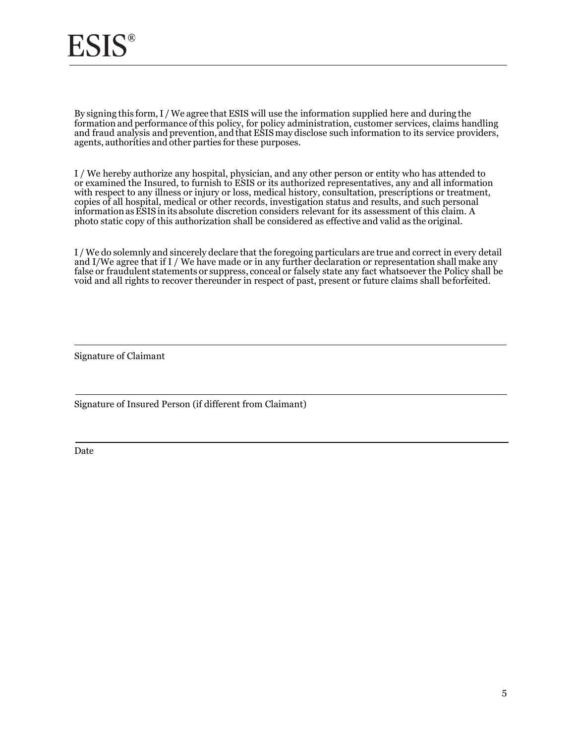By signing this form, I / We agree that ESIS will use the information supplied here and during the j  $\overline{a}$  agents, authorities and other parties for these purposes. formation and performance of this policy, for policy administration, customer services, claims handling and fraud analysis and prevention, and that ESIS may disclose such information to its service providers,

 copies of all hospital, medical or other records, investigation status and results, and such personal information as ESIS in its absolute discretion considers relevant for its assessment of this claim. A photo static copy of this authorization shall be considered as effective and valid as the original. I / We hereby authorize any hospital, physician, and any other person or entity who has attended to or examined the Insured, to furnish to ESIS or its authorized representatives, any and all information with respect to any illness or injury or loss, medical history, consultation, prescriptions or treatment,

 I / We do solemnly and sincerely declare that the foregoing particulars are true and correct in every detail and I/We agree that if I / We have made or in any further declaration or representation shall make any false or fraudulent statements or suppress, conceal or falsely state any fact whatsoever the Policy shall be void and all rights to recover thereunder in respect of past, present or future claims shall beforfeited.

Signature of Claimant

Signature of Insured Person (if different from Claimant)

Date